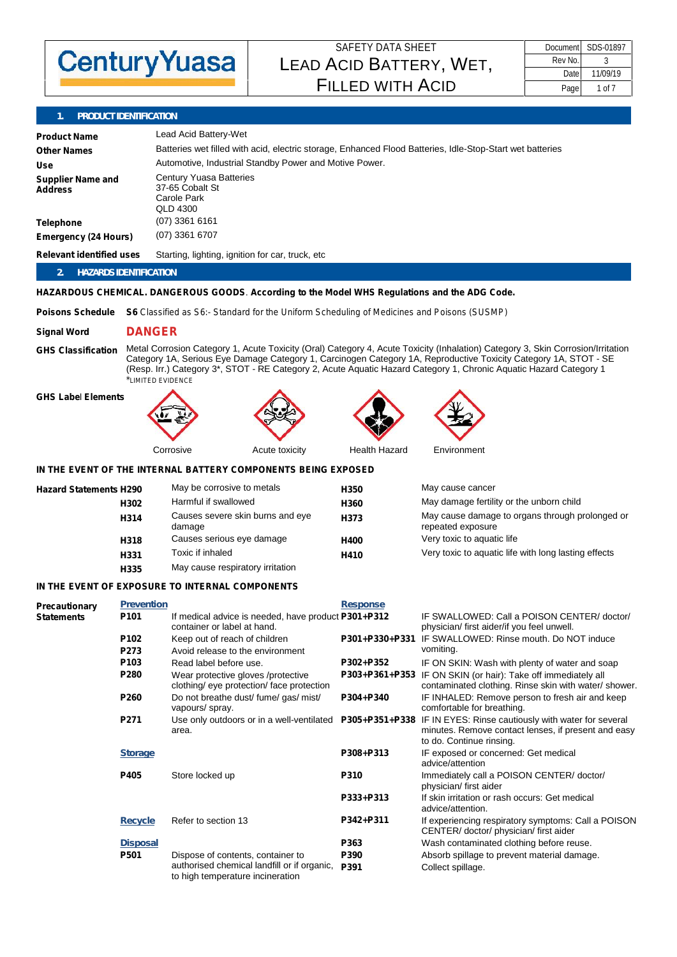

| Document | SDS-01897 |
|----------|-----------|
| Rev No.  |           |
| Date     | 11/09/19  |
| Page     | 1 of 7    |

# **1. PRODUCT IDENTIFICATION**

| <b>Product Name</b><br><b>Other Names</b><br>Use<br><b>Supplier Name and</b> | Lead Acid Battery-Wet<br>Batteries wet filled with acid, electric storage, Enhanced Flood Batteries, Idle-Stop-Start wet batteries<br>Automotive, Industrial Standby Power and Motive Power.<br><b>Century Yuasa Batteries</b> |                                                                                                                      |                  |                                                                                                                                                                                                                                                                                                                                                                           |  |  |
|------------------------------------------------------------------------------|--------------------------------------------------------------------------------------------------------------------------------------------------------------------------------------------------------------------------------|----------------------------------------------------------------------------------------------------------------------|------------------|---------------------------------------------------------------------------------------------------------------------------------------------------------------------------------------------------------------------------------------------------------------------------------------------------------------------------------------------------------------------------|--|--|
| Address                                                                      | 37-65 Cobalt St<br>Carole Park<br><b>QLD 4300</b><br>$(07)$ 3361 6161                                                                                                                                                          |                                                                                                                      |                  |                                                                                                                                                                                                                                                                                                                                                                           |  |  |
| <b>Telephone</b><br><b>Emergency (24 Hours)</b>                              |                                                                                                                                                                                                                                | (07) 3361 6707                                                                                                       |                  |                                                                                                                                                                                                                                                                                                                                                                           |  |  |
| <b>Relevant identified uses</b>                                              |                                                                                                                                                                                                                                | Starting, lighting, ignition for car, truck, etc.                                                                    |                  |                                                                                                                                                                                                                                                                                                                                                                           |  |  |
| <b>HAZARDS IDENTIFICATION</b><br>2.                                          |                                                                                                                                                                                                                                |                                                                                                                      |                  |                                                                                                                                                                                                                                                                                                                                                                           |  |  |
|                                                                              |                                                                                                                                                                                                                                | HAZARDOUS CHEMICAL. DANGEROUS GOODS. According to the Model WHS Regulations and the ADG Code.                        |                  |                                                                                                                                                                                                                                                                                                                                                                           |  |  |
| <b>Poisons Schedule</b>                                                      |                                                                                                                                                                                                                                | <b>S6</b> Classified as S6:- Standard for the Uniform Scheduling of Medicines and Poisons (SUSMP)                    |                  |                                                                                                                                                                                                                                                                                                                                                                           |  |  |
| <b>Signal Word</b>                                                           | <b>DANGER</b>                                                                                                                                                                                                                  |                                                                                                                      |                  |                                                                                                                                                                                                                                                                                                                                                                           |  |  |
| <b>GHS Classification</b>                                                    |                                                                                                                                                                                                                                | *LIMITED EVIDENCE                                                                                                    |                  | Metal Corrosion Category 1, Acute Toxicity (Oral) Category 4, Acute Toxicity (Inhalation) Category 3, Skin Corrosion/Irritation<br>Category 1A, Serious Eye Damage Category 1, Carcinogen Category 1A, Reproductive Toxicity Category 1A, STOT - SE<br>(Resp. Irr.) Category 3*, STOT - RE Category 2, Acute Aquatic Hazard Category 1, Chronic Aquatic Hazard Category 1 |  |  |
| <b>GHS Label Elements</b>                                                    |                                                                                                                                                                                                                                |                                                                                                                      |                  |                                                                                                                                                                                                                                                                                                                                                                           |  |  |
|                                                                              |                                                                                                                                                                                                                                | Corrosive<br>Acute toxicity                                                                                          | Health Hazard    | Environment                                                                                                                                                                                                                                                                                                                                                               |  |  |
|                                                                              |                                                                                                                                                                                                                                | IN THE EVENT OF THE INTERNAL BATTERY COMPONENTS BEING EXPOSED                                                        |                  |                                                                                                                                                                                                                                                                                                                                                                           |  |  |
| <b>Hazard Statements H290</b>                                                |                                                                                                                                                                                                                                | May be corrosive to metals                                                                                           | H <sub>350</sub> | May cause cancer                                                                                                                                                                                                                                                                                                                                                          |  |  |
|                                                                              | H302                                                                                                                                                                                                                           | Harmful if swallowed                                                                                                 | H360             | May damage fertility or the unborn child                                                                                                                                                                                                                                                                                                                                  |  |  |
|                                                                              | H314                                                                                                                                                                                                                           | Causes severe skin burns and eye<br>damage                                                                           | H373             | May cause damage to organs through prolonged or<br>repeated exposure                                                                                                                                                                                                                                                                                                      |  |  |
|                                                                              | H318                                                                                                                                                                                                                           | Causes serious eye damage                                                                                            | H400             | Very toxic to aquatic life                                                                                                                                                                                                                                                                                                                                                |  |  |
|                                                                              | H331                                                                                                                                                                                                                           | Toxic if inhaled                                                                                                     | H410             | Very toxic to aquatic life with long lasting effects                                                                                                                                                                                                                                                                                                                      |  |  |
|                                                                              | H335                                                                                                                                                                                                                           | May cause respiratory irritation                                                                                     |                  |                                                                                                                                                                                                                                                                                                                                                                           |  |  |
|                                                                              |                                                                                                                                                                                                                                | IN THE EVENT OF EXPOSURE TO INTERNAL COMPONENTS                                                                      |                  |                                                                                                                                                                                                                                                                                                                                                                           |  |  |
| Precautionary<br><b>Statements</b>                                           | <b>Prevention</b><br>P <sub>101</sub>                                                                                                                                                                                          | If medical advice is needed, have product P301+P312<br>container or label at hand.                                   | Response         | IF SWALLOWED: Call a POISON CENTER/ doctor/<br>physician/ first aider/if you feel unwell.                                                                                                                                                                                                                                                                                 |  |  |
|                                                                              | P102<br>P273                                                                                                                                                                                                                   | Keep out of reach of children<br>Avoid release to the environment                                                    |                  | P301+P330+P331 IF SWALLOWED: Rinse mouth. Do NOT induce<br>vomiting.                                                                                                                                                                                                                                                                                                      |  |  |
|                                                                              | P103                                                                                                                                                                                                                           | Read label before use.                                                                                               | P302+P352        | IF ON SKIN: Wash with plenty of water and soap                                                                                                                                                                                                                                                                                                                            |  |  |
|                                                                              | P280                                                                                                                                                                                                                           | Wear protective gloves /protective<br>clothing/ eye protection/ face protection                                      | P303+P361+P353   | IF ON SKIN (or hair): Take off immediately all<br>contaminated clothing. Rinse skin with water/ shower.                                                                                                                                                                                                                                                                   |  |  |
|                                                                              | P260                                                                                                                                                                                                                           | Do not breathe dust/ fume/ gas/ mist/<br>vapours/ spray.                                                             | P304+P340        | IF INHALED: Remove person to fresh air and keep<br>comfortable for breathing.                                                                                                                                                                                                                                                                                             |  |  |
|                                                                              | P271                                                                                                                                                                                                                           | Use only outdoors or in a well-ventilated<br>area.                                                                   | P305+P351+P338   | IF IN EYES: Rinse cautiously with water for several<br>minutes. Remove contact lenses, if present and easy<br>to do. Continue rinsing.                                                                                                                                                                                                                                    |  |  |
|                                                                              | <b>Storage</b>                                                                                                                                                                                                                 |                                                                                                                      | P308+P313        | IF exposed or concerned: Get medical<br>advice/attention                                                                                                                                                                                                                                                                                                                  |  |  |
|                                                                              | P405                                                                                                                                                                                                                           | Store locked up                                                                                                      | P310             | Immediately call a POISON CENTER/doctor/<br>physician/ first aider                                                                                                                                                                                                                                                                                                        |  |  |
|                                                                              |                                                                                                                                                                                                                                |                                                                                                                      | P333+P313        | If skin irritation or rash occurs: Get medical<br>advice/attention.                                                                                                                                                                                                                                                                                                       |  |  |
|                                                                              | <b>Recycle</b>                                                                                                                                                                                                                 | Refer to section 13                                                                                                  | P342+P311        | If experiencing respiratory symptoms: Call a POISON<br>CENTER/doctor/physician/first aider                                                                                                                                                                                                                                                                                |  |  |
|                                                                              | <b>Disposal</b>                                                                                                                                                                                                                |                                                                                                                      | P363             | Wash contaminated clothing before reuse.                                                                                                                                                                                                                                                                                                                                  |  |  |
|                                                                              | P501                                                                                                                                                                                                                           | Dispose of contents, container to<br>authorised chemical landfill or if organic,<br>to high temperature incineration | P390<br>P391     | Absorb spillage to prevent material damage.<br>Collect spillage.                                                                                                                                                                                                                                                                                                          |  |  |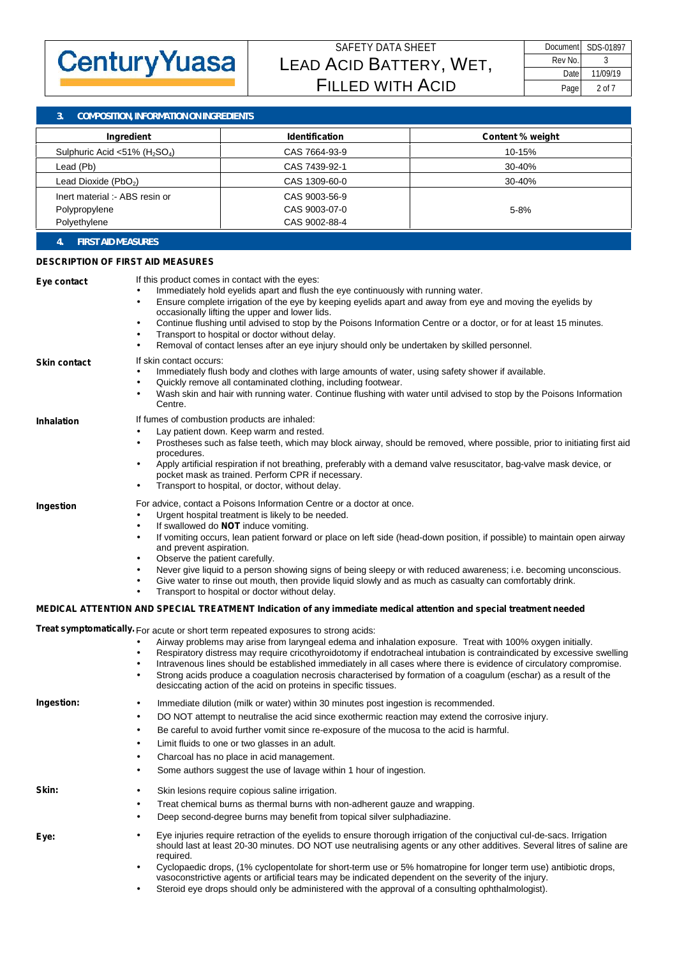

**3. COMPOSITION, INFORMATION ON INGREDIENTS**

| Ingredient                       | <b>Identification</b> | <b>Content % weight</b> |  |  |  |
|----------------------------------|-----------------------|-------------------------|--|--|--|
| Sulphuric Acid <51% $(H_2SO_4)$  | CAS 7664-93-9         | 10-15%                  |  |  |  |
| Lead (Pb)                        | CAS 7439-92-1         | 30-40%                  |  |  |  |
| Lead Dioxide (PbO <sub>2</sub> ) | CAS 1309-60-0         | $30 - 40%$              |  |  |  |
| Inert material :- ABS resin or   | CAS 9003-56-9         |                         |  |  |  |
| Polypropylene                    | CAS 9003-07-0         | $5 - 8%$                |  |  |  |
| Polyethylene                     | CAS 9002-88-4         |                         |  |  |  |
|                                  |                       |                         |  |  |  |

**4. FIRST AID MEASURES**

#### **DESCRIPTION OF FIRST AID MEASURES**

| Eye contact<br><b>Skin contact</b> | If this product comes in contact with the eyes:<br>Immediately hold eyelids apart and flush the eye continuously with running water.<br>Ensure complete irrigation of the eye by keeping eyelids apart and away from eye and moving the eyelids by<br>occasionally lifting the upper and lower lids.<br>Continue flushing until advised to stop by the Poisons Information Centre or a doctor, or for at least 15 minutes.<br>Transport to hospital or doctor without delay.<br>Removal of contact lenses after an eye injury should only be undertaken by skilled personnel.<br>If skin contact occurs: |  |
|------------------------------------|----------------------------------------------------------------------------------------------------------------------------------------------------------------------------------------------------------------------------------------------------------------------------------------------------------------------------------------------------------------------------------------------------------------------------------------------------------------------------------------------------------------------------------------------------------------------------------------------------------|--|
|                                    | Immediately flush body and clothes with large amounts of water, using safety shower if available.<br>Quickly remove all contaminated clothing, including footwear.<br>Wash skin and hair with running water. Continue flushing with water until advised to stop by the Poisons Information<br>Centre.                                                                                                                                                                                                                                                                                                    |  |
| <b>Inhalation</b>                  | If fumes of combustion products are inhaled:                                                                                                                                                                                                                                                                                                                                                                                                                                                                                                                                                             |  |
|                                    | Lay patient down. Keep warm and rested.<br>Prostheses such as false teeth, which may block airway, should be removed, where possible, prior to initiating first aid<br>procedures.                                                                                                                                                                                                                                                                                                                                                                                                                       |  |
|                                    | Apply artificial respiration if not breathing, preferably with a demand valve resuscitator, bag-valve mask device, or<br>pocket mask as trained. Perform CPR if necessary.<br>Transport to hospital, or doctor, without delay.                                                                                                                                                                                                                                                                                                                                                                           |  |
|                                    | For advice, contact a Poisons Information Centre or a doctor at once.                                                                                                                                                                                                                                                                                                                                                                                                                                                                                                                                    |  |
| Ingestion                          | Urgent hospital treatment is likely to be needed.                                                                                                                                                                                                                                                                                                                                                                                                                                                                                                                                                        |  |
|                                    | If swallowed do <b>NOT</b> induce vomiting.                                                                                                                                                                                                                                                                                                                                                                                                                                                                                                                                                              |  |
|                                    | If vomiting occurs, lean patient forward or place on left side (head-down position, if possible) to maintain open airway<br>and prevent aspiration.                                                                                                                                                                                                                                                                                                                                                                                                                                                      |  |
|                                    | Observe the patient carefully.                                                                                                                                                                                                                                                                                                                                                                                                                                                                                                                                                                           |  |
|                                    | Never give liquid to a person showing signs of being sleepy or with reduced awareness; i.e. becoming unconscious.                                                                                                                                                                                                                                                                                                                                                                                                                                                                                        |  |
|                                    | Give water to rinse out mouth, then provide liquid slowly and as much as casualty can comfortably drink.<br>Transport to hospital or doctor without delay.                                                                                                                                                                                                                                                                                                                                                                                                                                               |  |
|                                    | MEDICAL ATTENTION AND SPECIAL TREATMENT Indication of any immediate medical attention and special treatment needed                                                                                                                                                                                                                                                                                                                                                                                                                                                                                       |  |
|                                    | Treat symptomatically. For acute or short term repeated exposures to strong acids:                                                                                                                                                                                                                                                                                                                                                                                                                                                                                                                       |  |
|                                    | Airway problems may arise from laryngeal edema and inhalation exposure. Treat with 100% oxygen initially.                                                                                                                                                                                                                                                                                                                                                                                                                                                                                                |  |
|                                    | Respiratory distress may require cricothyroidotomy if endotracheal intubation is contraindicated by excessive swelling<br>Intravenous lines should be established immediately in all cases where there is evidence of circulatory compromise.<br>Strong acids produce a coagulation necrosis characterised by formation of a coagulum (eschar) as a result of the<br>desiccating action of the acid on proteins in specific tissues.                                                                                                                                                                     |  |
| Ingestion:                         | Immediate dilution (milk or water) within 30 minutes post ingestion is recommended.                                                                                                                                                                                                                                                                                                                                                                                                                                                                                                                      |  |
|                                    | DO NOT attempt to neutralise the acid since exothermic reaction may extend the corrosive injury.                                                                                                                                                                                                                                                                                                                                                                                                                                                                                                         |  |
|                                    | Be careful to avoid further vomit since re-exposure of the mucosa to the acid is harmful.                                                                                                                                                                                                                                                                                                                                                                                                                                                                                                                |  |
|                                    | Limit fluids to one or two glasses in an adult.                                                                                                                                                                                                                                                                                                                                                                                                                                                                                                                                                          |  |
|                                    | Charcoal has no place in acid management.                                                                                                                                                                                                                                                                                                                                                                                                                                                                                                                                                                |  |
|                                    | Some authors suggest the use of lavage within 1 hour of ingestion.                                                                                                                                                                                                                                                                                                                                                                                                                                                                                                                                       |  |
| Skin:                              | Skin lesions require copious saline irrigation.                                                                                                                                                                                                                                                                                                                                                                                                                                                                                                                                                          |  |
|                                    | Treat chemical burns as thermal burns with non-adherent gauze and wrapping.                                                                                                                                                                                                                                                                                                                                                                                                                                                                                                                              |  |
|                                    | Deep second-degree burns may benefit from topical silver sulphadiazine.                                                                                                                                                                                                                                                                                                                                                                                                                                                                                                                                  |  |
| Eye:                               | Eye injuries require retraction of the eyelids to ensure thorough irrigation of the conjuctival cul-de-sacs. Irrigation<br>should last at least 20-30 minutes. DO NOT use neutralising agents or any other additives. Several litres of saline are<br>required.                                                                                                                                                                                                                                                                                                                                          |  |
|                                    | Cyclopaedic drops, (1% cyclopentolate for short-term use or 5% homatropine for longer term use) antibiotic drops,                                                                                                                                                                                                                                                                                                                                                                                                                                                                                        |  |
|                                    | vasoconstrictive agents or artificial tears may be indicated dependent on the severity of the injury.                                                                                                                                                                                                                                                                                                                                                                                                                                                                                                    |  |
|                                    | Steroid eye drops should only be administered with the approval of a consulting ophthalmologist).                                                                                                                                                                                                                                                                                                                                                                                                                                                                                                        |  |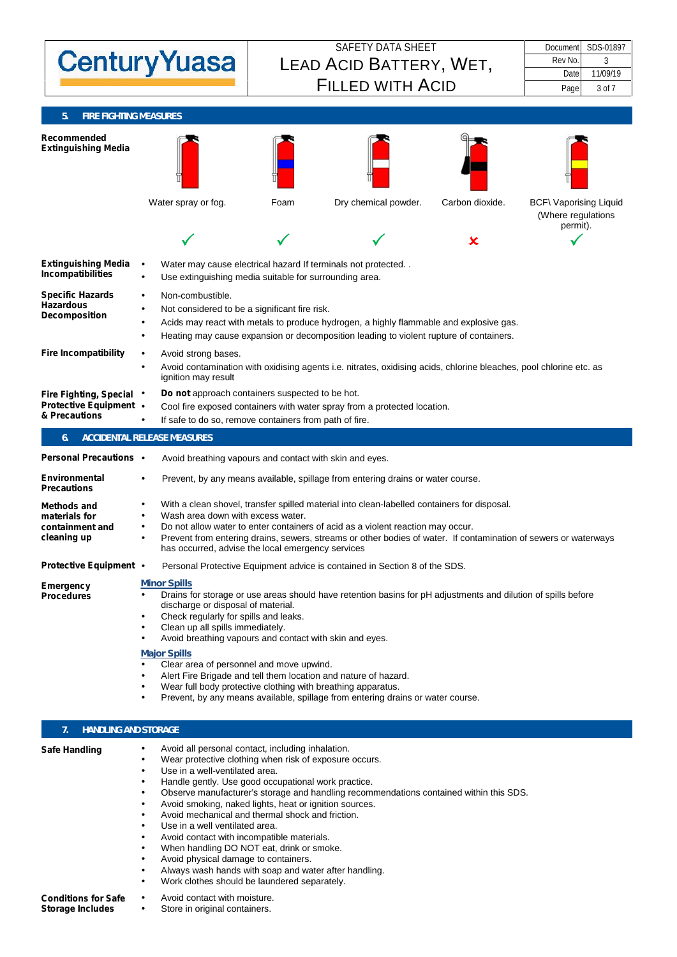| Document<br><b>Century Yuasa</b><br>Rev No.<br>3<br>LEAD ACID BATTERY, WET,<br>Date<br><b>FILLED WITH ACID</b><br>Page<br>3 of 7<br><b>FIRE FIGHTING MEASURES</b><br>Recommended<br><b>Extinguishing Media</b><br>Dry chemical powder.<br>Carbon dioxide.<br>Water spray or fog.<br>Foam<br>permit).<br>$\boldsymbol{\mathsf{x}}$<br><b>Extinguishing Media</b><br>Water may cause electrical hazard If terminals not protected<br>Incompatibilities<br>Use extinguishing media suitable for surrounding area.<br><b>Specific Hazards</b><br>Non-combustible.<br><b>Hazardous</b><br>Not considered to be a significant fire risk.<br><b>Decomposition</b><br>Acids may react with metals to produce hydrogen, a highly flammable and explosive gas.<br>Heating may cause expansion or decomposition leading to violent rupture of containers.<br><b>Fire Incompatibility</b><br>Avoid strong bases.<br>Avoid contamination with oxidising agents i.e. nitrates, oxidising acids, chlorine bleaches, pool chlorine etc. as<br>ignition may result<br>Do not approach containers suspected to be hot.<br><b>Fire Fighting, Special</b><br><b>Protective Equipment</b><br>Cool fire exposed containers with water spray from a protected location.<br>& Precautions<br>If safe to do so, remove containers from path of fire.<br>ACCIDENTAL RELEASE MEASURES<br><b>Personal Precautions</b><br>Avoid breathing vapours and contact with skin and eyes.<br>Environmental<br>Prevent, by any means available, spillage from entering drains or water course.<br><b>Precautions</b><br>With a clean shovel, transfer spilled material into clean-labelled containers for disposal.<br><b>Methods and</b><br>Wash area down with excess water.<br>materials for<br>containment and<br>Do not allow water to enter containers of acid as a violent reaction may occur.<br>cleaning up<br>has occurred, advise the local emergency services<br><b>Protective Equipment</b><br>Personal Protective Equipment advice is contained in Section 8 of the SDS.<br><b>Minor Spills</b><br>Emergency<br>Drains for storage or use areas should have retention basins for pH adjustments and dilution of spills before<br><b>Procedures</b><br>discharge or disposal of material.<br>Check regularly for spills and leaks.<br>Clean up all spills immediately.<br>Avoid breathing vapours and contact with skin and eyes.<br><b>Major Spills</b><br>Clear area of personnel and move upwind. |  |                                                                                                                 |  |  |                                                     |  |  |
|-----------------------------------------------------------------------------------------------------------------------------------------------------------------------------------------------------------------------------------------------------------------------------------------------------------------------------------------------------------------------------------------------------------------------------------------------------------------------------------------------------------------------------------------------------------------------------------------------------------------------------------------------------------------------------------------------------------------------------------------------------------------------------------------------------------------------------------------------------------------------------------------------------------------------------------------------------------------------------------------------------------------------------------------------------------------------------------------------------------------------------------------------------------------------------------------------------------------------------------------------------------------------------------------------------------------------------------------------------------------------------------------------------------------------------------------------------------------------------------------------------------------------------------------------------------------------------------------------------------------------------------------------------------------------------------------------------------------------------------------------------------------------------------------------------------------------------------------------------------------------------------------------------------------------------------------------------------------------------------------------------------------------------------------------------------------------------------------------------------------------------------------------------------------------------------------------------------------------------------------------------------------------------------------------------------------------------------------------------------------------------------------------------------------------------------------------------------------------------|--|-----------------------------------------------------------------------------------------------------------------|--|--|-----------------------------------------------------|--|--|
|                                                                                                                                                                                                                                                                                                                                                                                                                                                                                                                                                                                                                                                                                                                                                                                                                                                                                                                                                                                                                                                                                                                                                                                                                                                                                                                                                                                                                                                                                                                                                                                                                                                                                                                                                                                                                                                                                                                                                                                                                                                                                                                                                                                                                                                                                                                                                                                                                                                                             |  | <b>SAFETY DATA SHEET</b>                                                                                        |  |  | SDS-01897                                           |  |  |
|                                                                                                                                                                                                                                                                                                                                                                                                                                                                                                                                                                                                                                                                                                                                                                                                                                                                                                                                                                                                                                                                                                                                                                                                                                                                                                                                                                                                                                                                                                                                                                                                                                                                                                                                                                                                                                                                                                                                                                                                                                                                                                                                                                                                                                                                                                                                                                                                                                                                             |  |                                                                                                                 |  |  |                                                     |  |  |
|                                                                                                                                                                                                                                                                                                                                                                                                                                                                                                                                                                                                                                                                                                                                                                                                                                                                                                                                                                                                                                                                                                                                                                                                                                                                                                                                                                                                                                                                                                                                                                                                                                                                                                                                                                                                                                                                                                                                                                                                                                                                                                                                                                                                                                                                                                                                                                                                                                                                             |  |                                                                                                                 |  |  | 11/09/19                                            |  |  |
|                                                                                                                                                                                                                                                                                                                                                                                                                                                                                                                                                                                                                                                                                                                                                                                                                                                                                                                                                                                                                                                                                                                                                                                                                                                                                                                                                                                                                                                                                                                                                                                                                                                                                                                                                                                                                                                                                                                                                                                                                                                                                                                                                                                                                                                                                                                                                                                                                                                                             |  |                                                                                                                 |  |  |                                                     |  |  |
|                                                                                                                                                                                                                                                                                                                                                                                                                                                                                                                                                                                                                                                                                                                                                                                                                                                                                                                                                                                                                                                                                                                                                                                                                                                                                                                                                                                                                                                                                                                                                                                                                                                                                                                                                                                                                                                                                                                                                                                                                                                                                                                                                                                                                                                                                                                                                                                                                                                                             |  |                                                                                                                 |  |  |                                                     |  |  |
|                                                                                                                                                                                                                                                                                                                                                                                                                                                                                                                                                                                                                                                                                                                                                                                                                                                                                                                                                                                                                                                                                                                                                                                                                                                                                                                                                                                                                                                                                                                                                                                                                                                                                                                                                                                                                                                                                                                                                                                                                                                                                                                                                                                                                                                                                                                                                                                                                                                                             |  |                                                                                                                 |  |  |                                                     |  |  |
|                                                                                                                                                                                                                                                                                                                                                                                                                                                                                                                                                                                                                                                                                                                                                                                                                                                                                                                                                                                                                                                                                                                                                                                                                                                                                                                                                                                                                                                                                                                                                                                                                                                                                                                                                                                                                                                                                                                                                                                                                                                                                                                                                                                                                                                                                                                                                                                                                                                                             |  |                                                                                                                 |  |  | <b>BCF\ Vaporising Liquid</b><br>(Where regulations |  |  |
|                                                                                                                                                                                                                                                                                                                                                                                                                                                                                                                                                                                                                                                                                                                                                                                                                                                                                                                                                                                                                                                                                                                                                                                                                                                                                                                                                                                                                                                                                                                                                                                                                                                                                                                                                                                                                                                                                                                                                                                                                                                                                                                                                                                                                                                                                                                                                                                                                                                                             |  |                                                                                                                 |  |  |                                                     |  |  |
|                                                                                                                                                                                                                                                                                                                                                                                                                                                                                                                                                                                                                                                                                                                                                                                                                                                                                                                                                                                                                                                                                                                                                                                                                                                                                                                                                                                                                                                                                                                                                                                                                                                                                                                                                                                                                                                                                                                                                                                                                                                                                                                                                                                                                                                                                                                                                                                                                                                                             |  |                                                                                                                 |  |  |                                                     |  |  |
|                                                                                                                                                                                                                                                                                                                                                                                                                                                                                                                                                                                                                                                                                                                                                                                                                                                                                                                                                                                                                                                                                                                                                                                                                                                                                                                                                                                                                                                                                                                                                                                                                                                                                                                                                                                                                                                                                                                                                                                                                                                                                                                                                                                                                                                                                                                                                                                                                                                                             |  |                                                                                                                 |  |  |                                                     |  |  |
|                                                                                                                                                                                                                                                                                                                                                                                                                                                                                                                                                                                                                                                                                                                                                                                                                                                                                                                                                                                                                                                                                                                                                                                                                                                                                                                                                                                                                                                                                                                                                                                                                                                                                                                                                                                                                                                                                                                                                                                                                                                                                                                                                                                                                                                                                                                                                                                                                                                                             |  |                                                                                                                 |  |  |                                                     |  |  |
|                                                                                                                                                                                                                                                                                                                                                                                                                                                                                                                                                                                                                                                                                                                                                                                                                                                                                                                                                                                                                                                                                                                                                                                                                                                                                                                                                                                                                                                                                                                                                                                                                                                                                                                                                                                                                                                                                                                                                                                                                                                                                                                                                                                                                                                                                                                                                                                                                                                                             |  |                                                                                                                 |  |  |                                                     |  |  |
|                                                                                                                                                                                                                                                                                                                                                                                                                                                                                                                                                                                                                                                                                                                                                                                                                                                                                                                                                                                                                                                                                                                                                                                                                                                                                                                                                                                                                                                                                                                                                                                                                                                                                                                                                                                                                                                                                                                                                                                                                                                                                                                                                                                                                                                                                                                                                                                                                                                                             |  |                                                                                                                 |  |  |                                                     |  |  |
|                                                                                                                                                                                                                                                                                                                                                                                                                                                                                                                                                                                                                                                                                                                                                                                                                                                                                                                                                                                                                                                                                                                                                                                                                                                                                                                                                                                                                                                                                                                                                                                                                                                                                                                                                                                                                                                                                                                                                                                                                                                                                                                                                                                                                                                                                                                                                                                                                                                                             |  |                                                                                                                 |  |  |                                                     |  |  |
|                                                                                                                                                                                                                                                                                                                                                                                                                                                                                                                                                                                                                                                                                                                                                                                                                                                                                                                                                                                                                                                                                                                                                                                                                                                                                                                                                                                                                                                                                                                                                                                                                                                                                                                                                                                                                                                                                                                                                                                                                                                                                                                                                                                                                                                                                                                                                                                                                                                                             |  |                                                                                                                 |  |  |                                                     |  |  |
|                                                                                                                                                                                                                                                                                                                                                                                                                                                                                                                                                                                                                                                                                                                                                                                                                                                                                                                                                                                                                                                                                                                                                                                                                                                                                                                                                                                                                                                                                                                                                                                                                                                                                                                                                                                                                                                                                                                                                                                                                                                                                                                                                                                                                                                                                                                                                                                                                                                                             |  | Prevent from entering drains, sewers, streams or other bodies of water. If contamination of sewers or waterways |  |  |                                                     |  |  |
|                                                                                                                                                                                                                                                                                                                                                                                                                                                                                                                                                                                                                                                                                                                                                                                                                                                                                                                                                                                                                                                                                                                                                                                                                                                                                                                                                                                                                                                                                                                                                                                                                                                                                                                                                                                                                                                                                                                                                                                                                                                                                                                                                                                                                                                                                                                                                                                                                                                                             |  |                                                                                                                 |  |  |                                                     |  |  |
| Alert Fire Brigade and tell them location and nature of hazard.<br>Wear full body protective clothing with breathing apparatus.                                                                                                                                                                                                                                                                                                                                                                                                                                                                                                                                                                                                                                                                                                                                                                                                                                                                                                                                                                                                                                                                                                                                                                                                                                                                                                                                                                                                                                                                                                                                                                                                                                                                                                                                                                                                                                                                                                                                                                                                                                                                                                                                                                                                                                                                                                                                             |  |                                                                                                                 |  |  |                                                     |  |  |

# **7. HANDLING AND STORAGE**

| <b>Safe Handling</b>       | Avoid all personal contact, including inhalation.<br>Wear protective clothing when risk of exposure occurs.<br>Use in a well-ventilated area.<br>Handle gently. Use good occupational work practice.<br>Observe manufacturer's storage and handling recommendations contained within this SDS.<br>Avoid smoking, naked lights, heat or ignition sources.<br>Avoid mechanical and thermal shock and friction.<br>Use in a well ventilated area.<br>Avoid contact with incompatible materials.<br>When handling DO NOT eat, drink or smoke.<br>Avoid physical damage to containers.<br>Always wash hands with soap and water after handling.<br>Work clothes should be laundered separately. |
|----------------------------|--------------------------------------------------------------------------------------------------------------------------------------------------------------------------------------------------------------------------------------------------------------------------------------------------------------------------------------------------------------------------------------------------------------------------------------------------------------------------------------------------------------------------------------------------------------------------------------------------------------------------------------------------------------------------------------------|
| <b>Conditions for Safe</b> | Avoid contact with moisture.                                                                                                                                                                                                                                                                                                                                                                                                                                                                                                                                                                                                                                                               |
| <b>Storage Includes</b>    | Store in original containers.                                                                                                                                                                                                                                                                                                                                                                                                                                                                                                                                                                                                                                                              |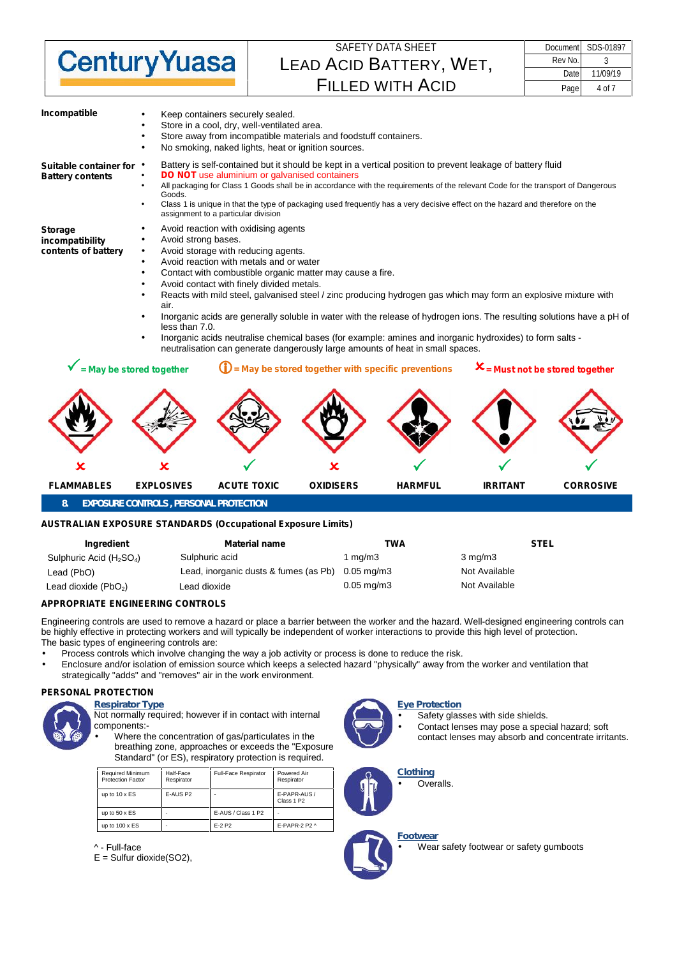

| Document | SDS-01897 |
|----------|-----------|
| Rev No.  |           |
| Date     | 11/09/19  |
| Page     | 4 of 7    |

| Incompatible                                             | Keep containers securely sealed.<br>Store in a cool, dry, well-ventilated area.<br>Store away from incompatible materials and foodstuff containers.<br>No smoking, naked lights, heat or ignition sources.                                                                                                                                                                                                                                                                                                                                                                                                                                                                                                                   |
|----------------------------------------------------------|------------------------------------------------------------------------------------------------------------------------------------------------------------------------------------------------------------------------------------------------------------------------------------------------------------------------------------------------------------------------------------------------------------------------------------------------------------------------------------------------------------------------------------------------------------------------------------------------------------------------------------------------------------------------------------------------------------------------------|
| Suitable container for<br><b>Battery contents</b>        | Battery is self-contained but it should be kept in a vertical position to prevent leakage of battery fluid<br><b>DO NOT</b> use aluminium or galvanised containers<br>All packaging for Class 1 Goods shall be in accordance with the requirements of the relevant Code for the transport of Dangerous<br>Goods.<br>Class 1 is unique in that the type of packaging used frequently has a very decisive effect on the hazard and therefore on the<br>assignment to a particular division                                                                                                                                                                                                                                     |
| <b>Storage</b><br>incompatibility<br>contents of battery | Avoid reaction with oxidising agents<br>Avoid strong bases.<br>Avoid storage with reducing agents.<br>Avoid reaction with metals and or water<br>Contact with combustible organic matter may cause a fire.<br>Avoid contact with finely divided metals.<br>Reacts with mild steel, galvanised steel / zinc producing hydrogen gas which may form an explosive mixture with<br>air.<br>Inorganic acids are generally soluble in water with the release of hydrogen ions. The resulting solutions have a pH of<br>less than 7.0.<br>Inorganic acids neutralise chemical bases (for example: amines and inorganic hydroxides) to form salts -<br>neutralisation can generate dangerously large amounts of heat in small spaces. |
| = May be stored together                                 | $X$ = Must not be stored together<br>$\mathbf{U}$ = May be stored together with specific preventions                                                                                                                                                                                                                                                                                                                                                                                                                                                                                                                                                                                                                         |
|                                                          |                                                                                                                                                                                                                                                                                                                                                                                                                                                                                                                                                                                                                                                                                                                              |

**8. EXPOSURE CONTROLS , PERSONAL PROTECTION**

### **AUSTRALIAN EXPOSURE STANDARDS (Occupational Exposure Limits)**

| Ingredient                 | <b>Material name</b>                  | TWA             | <b>STEL</b>      |
|----------------------------|---------------------------------------|-----------------|------------------|
| Sulphuric Acid $(H_2SO_4)$ | Sulphuric acid                        | 1 ma/m3         | $3 \text{ ma/m}$ |
| Lead (PbO)                 | Lead, inorganic dusts & fumes (as Pb) | 0.05 ma/m3      | Not Available    |
| Lead dioxide $(PbO2)$      | Lead dioxide                          | $0.05$ mg/m $3$ | Not Available    |

**FLAMMABLES EXPLOSIVES ACUTE TOXIC OXIDISERS HARMFUL IRRITANT CORROSIVE**

### **APPROPRIATE ENGINEERING CONTROLS**

Engineering controls are used to remove a hazard or place a barrier between the worker and the hazard. Well-designed engineering controls can be highly effective in protecting workers and will typically be independent of worker interactions to provide this high level of protection. The basic types of engineering controls are:

Process controls which involve changing the way a job activity or process is done to reduce the risk.

 Enclosure and/or isolation of emission source which keeps a selected hazard "physically" away from the worker and ventilation that strategically "adds" and "removes" air in the work environment.

#### **PERSONAL PROTECTION**



*Respirator Type* Not normally required; however if in contact with internal components:-

 Where the concentration of gas/particulates in the breathing zone, approaches or exceeds the "Exposure Standard" (or ES), respiratory protection is required.

| <b>Required Minimum</b><br><b>Protection Factor</b> | Half-Face<br>Respirator | Full-Face Respirator | Powered Air<br>Respirator              |
|-----------------------------------------------------|-------------------------|----------------------|----------------------------------------|
| up to $10 \times ES$                                | E-AUS P <sub>2</sub>    |                      | E-PAPR-AUS /<br>Class 1 P <sub>2</sub> |
| up to $50 \times ES$                                | ۰                       | E-AUS / Class 1 P2   | ۰                                      |
| up to $100 \times ES$                               | ۰                       | $F-2$ P <sub>2</sub> | E-PAPR-2 P2 ^                          |

^ - Full-face

 $E =$  Sulfur dioxide(SO2),



### *Eye Protection*

 Safety glasses with side shields. Contact lenses may pose a special hazard; soft contact lenses may absorb and concentrate irritants.



Overalls.



Wear safety footwear or safety gumboots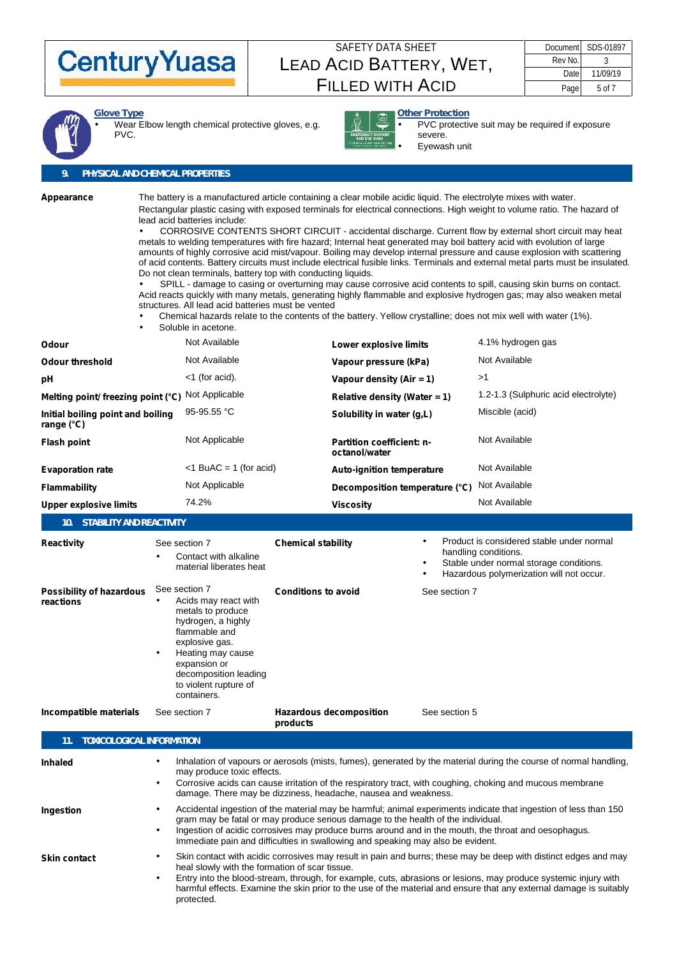

|         | Document SDS-01897 |  |
|---------|--------------------|--|
| Rev No. |                    |  |
| Date    | 11/09/19           |  |
| Page    | 5 of 7             |  |



*Glove Type* Wear Elbow length chemical protective gloves, e.g. PVC.



*Other Protection* PVC protective suit may be required if exposure severe. Eyewash unit

## **9. PHYSICAL AND CHEMICAL PROPERTIES**

| Appearance                                                 | The battery is a manufactured article containing a clear mobile acidic liquid. The electrolyte mixes with water.<br>Rectangular plastic casing with exposed terminals for electrical connections. High weight to volume ratio. The hazard of<br>lead acid batteries include:<br>CORROSIVE CONTENTS SHORT CIRCUIT - accidental discharge. Current flow by external short circuit may heat<br>metals to welding temperatures with fire hazard; Internal heat generated may boil battery acid with evolution of large<br>amounts of highly corrosive acid mist/vapour. Boiling may develop internal pressure and cause explosion with scattering<br>of acid contents. Battery circuits must include electrical fusible links. Terminals and external metal parts must be insulated.<br>Do not clean terminals, battery top with conducting liquids.<br>SPILL - damage to casing or overturning may cause corrosive acid contents to spill, causing skin burns on contact.<br>Acid reacts quickly with many metals, generating highly flammable and explosive hydrogen gas; may also weaken metal<br>structures. All lead acid batteries must be vented<br>Chemical hazards relate to the contents of the battery. Yellow crystalline; does not mix well with water (1%).<br>Soluble in acetone. |                                                                                                                                                                                                                                                                                                                                                                                                            |                                                                                                  |  |                                                                                                                                  |                                      |
|------------------------------------------------------------|----------------------------------------------------------------------------------------------------------------------------------------------------------------------------------------------------------------------------------------------------------------------------------------------------------------------------------------------------------------------------------------------------------------------------------------------------------------------------------------------------------------------------------------------------------------------------------------------------------------------------------------------------------------------------------------------------------------------------------------------------------------------------------------------------------------------------------------------------------------------------------------------------------------------------------------------------------------------------------------------------------------------------------------------------------------------------------------------------------------------------------------------------------------------------------------------------------------------------------------------------------------------------------------------|------------------------------------------------------------------------------------------------------------------------------------------------------------------------------------------------------------------------------------------------------------------------------------------------------------------------------------------------------------------------------------------------------------|--------------------------------------------------------------------------------------------------|--|----------------------------------------------------------------------------------------------------------------------------------|--------------------------------------|
| Odour                                                      | Not Available                                                                                                                                                                                                                                                                                                                                                                                                                                                                                                                                                                                                                                                                                                                                                                                                                                                                                                                                                                                                                                                                                                                                                                                                                                                                                |                                                                                                                                                                                                                                                                                                                                                                                                            | Lower explosive limits                                                                           |  |                                                                                                                                  | 4.1% hydrogen gas                    |
| <b>Odour threshold</b>                                     | Not Available                                                                                                                                                                                                                                                                                                                                                                                                                                                                                                                                                                                                                                                                                                                                                                                                                                                                                                                                                                                                                                                                                                                                                                                                                                                                                |                                                                                                                                                                                                                                                                                                                                                                                                            | Vapour pressure (kPa)                                                                            |  |                                                                                                                                  | Not Available                        |
| рH                                                         | <1 (for acid).                                                                                                                                                                                                                                                                                                                                                                                                                                                                                                                                                                                                                                                                                                                                                                                                                                                                                                                                                                                                                                                                                                                                                                                                                                                                               |                                                                                                                                                                                                                                                                                                                                                                                                            | Vapour density (Air = 1)                                                                         |  |                                                                                                                                  | >1                                   |
| Melting point/ freezing point (°C)                         | Not Applicable                                                                                                                                                                                                                                                                                                                                                                                                                                                                                                                                                                                                                                                                                                                                                                                                                                                                                                                                                                                                                                                                                                                                                                                                                                                                               |                                                                                                                                                                                                                                                                                                                                                                                                            | Relative density (Water = 1)                                                                     |  |                                                                                                                                  | 1.2-1.3 (Sulphuric acid electrolyte) |
| Initial boiling point and boiling<br>range (°C)            | 95-95.55 °C                                                                                                                                                                                                                                                                                                                                                                                                                                                                                                                                                                                                                                                                                                                                                                                                                                                                                                                                                                                                                                                                                                                                                                                                                                                                                  |                                                                                                                                                                                                                                                                                                                                                                                                            | Solubility in water (g,L)                                                                        |  |                                                                                                                                  | Miscible (acid)                      |
| <b>Flash point</b>                                         | Not Applicable                                                                                                                                                                                                                                                                                                                                                                                                                                                                                                                                                                                                                                                                                                                                                                                                                                                                                                                                                                                                                                                                                                                                                                                                                                                                               |                                                                                                                                                                                                                                                                                                                                                                                                            | <b>Partition coefficient: n-</b><br>octanol/water                                                |  |                                                                                                                                  | Not Available                        |
| <b>Evaporation rate</b>                                    | $<$ 1 BuAC = 1 (for acid)                                                                                                                                                                                                                                                                                                                                                                                                                                                                                                                                                                                                                                                                                                                                                                                                                                                                                                                                                                                                                                                                                                                                                                                                                                                                    |                                                                                                                                                                                                                                                                                                                                                                                                            | <b>Auto-ignition temperature</b>                                                                 |  |                                                                                                                                  | Not Available                        |
| <b>Flammability</b>                                        | Not Applicable                                                                                                                                                                                                                                                                                                                                                                                                                                                                                                                                                                                                                                                                                                                                                                                                                                                                                                                                                                                                                                                                                                                                                                                                                                                                               |                                                                                                                                                                                                                                                                                                                                                                                                            | Decomposition temperature (°C)                                                                   |  |                                                                                                                                  | Not Available                        |
| <b>Upper explosive limits</b>                              | 74.2%                                                                                                                                                                                                                                                                                                                                                                                                                                                                                                                                                                                                                                                                                                                                                                                                                                                                                                                                                                                                                                                                                                                                                                                                                                                                                        |                                                                                                                                                                                                                                                                                                                                                                                                            | <b>Viscosity</b>                                                                                 |  |                                                                                                                                  | Not Available                        |
| STABILITY AND REACTIVITY<br>10.                            |                                                                                                                                                                                                                                                                                                                                                                                                                                                                                                                                                                                                                                                                                                                                                                                                                                                                                                                                                                                                                                                                                                                                                                                                                                                                                              |                                                                                                                                                                                                                                                                                                                                                                                                            |                                                                                                  |  |                                                                                                                                  |                                      |
| Reactivity<br><b>Possibility of hazardous</b><br>reactions | See section 7<br>Contact with alkaline<br>material liberates heat<br>See section 7<br>Acids may react with<br>metals to produce<br>hydrogen, a highly<br>flammable and<br>explosive gas.<br>Heating may cause<br>expansion or<br>decomposition leading<br>to violent rupture of<br>containers.                                                                                                                                                                                                                                                                                                                                                                                                                                                                                                                                                                                                                                                                                                                                                                                                                                                                                                                                                                                               |                                                                                                                                                                                                                                                                                                                                                                                                            | <b>Chemical stability</b><br>handling conditions.<br><b>Conditions to avoid</b><br>See section 7 |  | Product is considered stable under normal<br>Stable under normal storage conditions.<br>Hazardous polymerization will not occur. |                                      |
| Incompatible materials                                     | See section 7                                                                                                                                                                                                                                                                                                                                                                                                                                                                                                                                                                                                                                                                                                                                                                                                                                                                                                                                                                                                                                                                                                                                                                                                                                                                                | products                                                                                                                                                                                                                                                                                                                                                                                                   | <b>Hazardous decomposition</b>                                                                   |  | See section 5                                                                                                                    |                                      |
| TOXICOLOGICAL INFORMATION<br>11.                           |                                                                                                                                                                                                                                                                                                                                                                                                                                                                                                                                                                                                                                                                                                                                                                                                                                                                                                                                                                                                                                                                                                                                                                                                                                                                                              |                                                                                                                                                                                                                                                                                                                                                                                                            |                                                                                                  |  |                                                                                                                                  |                                      |
| <b>Inhaled</b>                                             |                                                                                                                                                                                                                                                                                                                                                                                                                                                                                                                                                                                                                                                                                                                                                                                                                                                                                                                                                                                                                                                                                                                                                                                                                                                                                              | Inhalation of vapours or aerosols (mists, fumes), generated by the material during the course of normal handling,<br>may produce toxic effects.<br>Corrosive acids can cause irritation of the respiratory tract, with coughing, choking and mucous membrane<br>damage. There may be dizziness, headache, nausea and weakness.                                                                             |                                                                                                  |  |                                                                                                                                  |                                      |
| Ingestion                                                  |                                                                                                                                                                                                                                                                                                                                                                                                                                                                                                                                                                                                                                                                                                                                                                                                                                                                                                                                                                                                                                                                                                                                                                                                                                                                                              | Accidental ingestion of the material may be harmful; animal experiments indicate that ingestion of less than 150<br>gram may be fatal or may produce serious damage to the health of the individual.<br>Ingestion of acidic corrosives may produce burns around and in the mouth, the throat and oesophagus.<br>Immediate pain and difficulties in swallowing and speaking may also be evident.            |                                                                                                  |  |                                                                                                                                  |                                      |
| <b>Skin contact</b>                                        | protected.                                                                                                                                                                                                                                                                                                                                                                                                                                                                                                                                                                                                                                                                                                                                                                                                                                                                                                                                                                                                                                                                                                                                                                                                                                                                                   | Skin contact with acidic corrosives may result in pain and burns; these may be deep with distinct edges and may<br>heal slowly with the formation of scar tissue.<br>Entry into the blood-stream, through, for example, cuts, abrasions or lesions, may produce systemic injury with<br>harmful effects. Examine the skin prior to the use of the material and ensure that any external damage is suitably |                                                                                                  |  |                                                                                                                                  |                                      |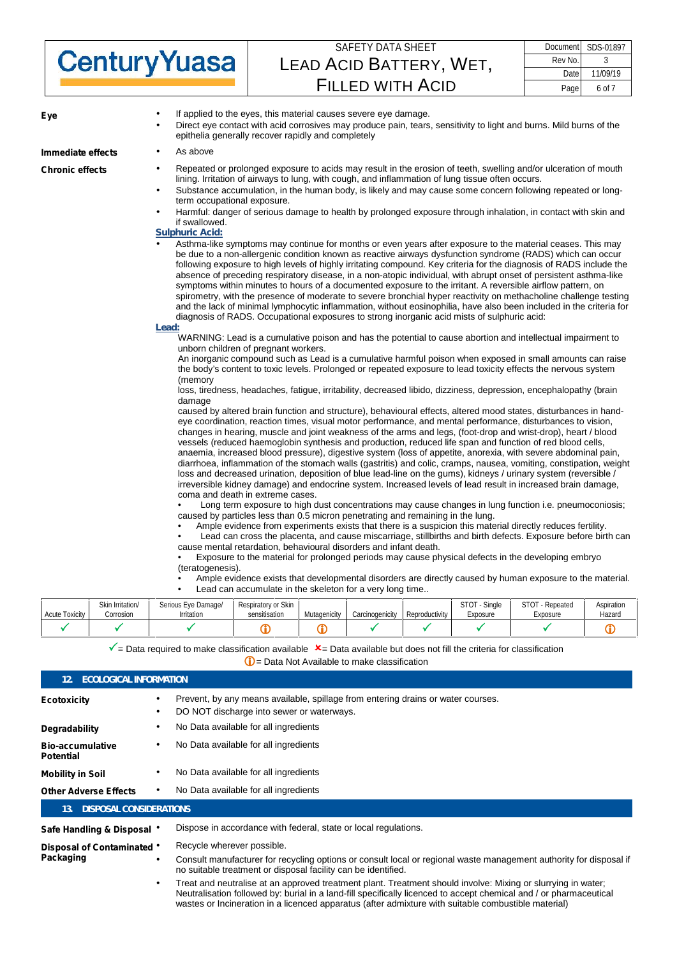|                      | SAFETY DATA SHEET       |      | Document SDS-01897 |
|----------------------|-------------------------|------|--------------------|
| <b>Century Yuasa</b> | LEAD ACID BATTERY, WET, |      | Rev No.            |
|                      |                         |      | 11/09/19           |
|                      | <b>FILLED WITH ACID</b> | Page | 6 of 7             |

| ∟y≂                    | Direct eye contact with acid corrosives may produce pain, tears, sensitivity to light and burns. Mild burns of the<br>epithelia generally recover rapidly and completely                                                                                                                                                                                                                                                                                                                                                                                                                                                                                                                                                                                                                                                                                                                                                                                                                                                                                                                                                                                                                                                                                                                                                                                                                                                                                                                                                                                                                                                                                                                                                                                                                                                                                                                                                                                                                                                                                                                                                                                                                                                                                                                                                                                                                                                                                                                                                                                                                                                                                                                                                                                                                                                                                                                                                                                                                                                                                                                                                                                                                                                                                                                                                                                                                                                                                                                                                                                                                                                                                                                                                                                                                   |
|------------------------|--------------------------------------------------------------------------------------------------------------------------------------------------------------------------------------------------------------------------------------------------------------------------------------------------------------------------------------------------------------------------------------------------------------------------------------------------------------------------------------------------------------------------------------------------------------------------------------------------------------------------------------------------------------------------------------------------------------------------------------------------------------------------------------------------------------------------------------------------------------------------------------------------------------------------------------------------------------------------------------------------------------------------------------------------------------------------------------------------------------------------------------------------------------------------------------------------------------------------------------------------------------------------------------------------------------------------------------------------------------------------------------------------------------------------------------------------------------------------------------------------------------------------------------------------------------------------------------------------------------------------------------------------------------------------------------------------------------------------------------------------------------------------------------------------------------------------------------------------------------------------------------------------------------------------------------------------------------------------------------------------------------------------------------------------------------------------------------------------------------------------------------------------------------------------------------------------------------------------------------------------------------------------------------------------------------------------------------------------------------------------------------------------------------------------------------------------------------------------------------------------------------------------------------------------------------------------------------------------------------------------------------------------------------------------------------------------------------------------------------------------------------------------------------------------------------------------------------------------------------------------------------------------------------------------------------------------------------------------------------------------------------------------------------------------------------------------------------------------------------------------------------------------------------------------------------------------------------------------------------------------------------------------------------------------------------------------------------------------------------------------------------------------------------------------------------------------------------------------------------------------------------------------------------------------------------------------------------------------------------------------------------------------------------------------------------------------------------------------------------------------------------------------------------------|
| Immediate effects      | As above                                                                                                                                                                                                                                                                                                                                                                                                                                                                                                                                                                                                                                                                                                                                                                                                                                                                                                                                                                                                                                                                                                                                                                                                                                                                                                                                                                                                                                                                                                                                                                                                                                                                                                                                                                                                                                                                                                                                                                                                                                                                                                                                                                                                                                                                                                                                                                                                                                                                                                                                                                                                                                                                                                                                                                                                                                                                                                                                                                                                                                                                                                                                                                                                                                                                                                                                                                                                                                                                                                                                                                                                                                                                                                                                                                                   |
| <b>Chronic effects</b> | Repeated or prolonged exposure to acids may result in the erosion of teeth, swelling and/or ulceration of mouth<br>lining. Irritation of airways to lung, with cough, and inflammation of lung tissue often occurs.<br>Substance accumulation, in the human body, is likely and may cause some concern following repeated or long-<br>term occupational exposure.<br>Harmful: danger of serious damage to health by prolonged exposure through inhalation, in contact with skin and<br>if swallowed.<br><b>Sulphuric Acid:</b><br>Asthma-like symptoms may continue for months or even years after exposure to the material ceases. This may<br>be due to a non-allergenic condition known as reactive airways dysfunction syndrome (RADS) which can occur<br>following exposure to high levels of highly irritating compound. Key criteria for the diagnosis of RADS include the<br>absence of preceding respiratory disease, in a non-atopic individual, with abrupt onset of persistent asthma-like<br>symptoms within minutes to hours of a documented exposure to the irritant. A reversible airflow pattern, on<br>spirometry, with the presence of moderate to severe bronchial hyper reactivity on methacholine challenge testing<br>and the lack of minimal lymphocytic inflammation, without eosinophilia, have also been included in the criteria for<br>diagnosis of RADS. Occupational exposures to strong inorganic acid mists of sulphuric acid:<br>Lead:<br>WARNING: Lead is a cumulative poison and has the potential to cause abortion and intellectual impairment to<br>unborn children of pregnant workers.<br>An inorganic compound such as Lead is a cumulative harmful poison when exposed in small amounts can raise<br>the body's content to toxic levels. Prolonged or repeated exposure to lead toxicity effects the nervous system<br>(memory<br>loss, tiredness, headaches, fatique, irritability, decreased libido, dizziness, depression, encephalopathy (brain<br>damage<br>caused by altered brain function and structure), behavioural effects, altered mood states, disturbances in hand-<br>eye coordination, reaction times, visual motor performance, and mental performance, disturbances to vision,<br>changes in hearing, muscle and joint weakness of the arms and legs, (foot-drop and wrist-drop), heart / blood<br>vessels (reduced haemoglobin synthesis and production, reduced life span and function of red blood cells,<br>anaemia, increased blood pressure), digestive system (loss of appetite, anorexia, with severe abdominal pain,<br>diarrhoea, inflammation of the stomach walls (gastritis) and colic, cramps, nausea, vomiting, constipation, weight<br>loss and decreased urination, deposition of blue lead-line on the gums), kidneys / urinary system (reversible /<br>irreversible kidney damage) and endocrine system. Increased levels of lead result in increased brain damage,<br>coma and death in extreme cases.<br>Long term exposure to high dust concentrations may cause changes in lung function i.e. pneumoconiosis;<br>caused by particles less than 0.5 micron penetrating and remaining in the lung.<br>Ample evidence from experiments exists that there is a suspicion this material directly reduces fertility.<br>Lead can cross the placenta, and cause miscarriage, stillbirths and birth defects. Exposure before birth can<br>cause mental retardation, behavioural disorders and infant death.<br>Exposure to the material for prolonged periods may cause physical defects in the developing embryo<br>(teratogenesis).<br>Ample evidence exists that developmental disorders are directly caused by human exposure to the material.<br>Lead can accumulate in the skeleton for a very long time |
|                        |                                                                                                                                                                                                                                                                                                                                                                                                                                                                                                                                                                                                                                                                                                                                                                                                                                                                                                                                                                                                                                                                                                                                                                                                                                                                                                                                                                                                                                                                                                                                                                                                                                                                                                                                                                                                                                                                                                                                                                                                                                                                                                                                                                                                                                                                                                                                                                                                                                                                                                                                                                                                                                                                                                                                                                                                                                                                                                                                                                                                                                                                                                                                                                                                                                                                                                                                                                                                                                                                                                                                                                                                                                                                                                                                                                                            |

| <b>Acute Toxicity</b> | Skin Irritation/<br>Corrosion | : Damage/<br>$E_{110}$<br>Serious<br><b>'rritation</b> | Respiratory or Skin<br>sensitisation | Mutanenicit<br>enicity<br>iviutag | Carcinogenicity | Reproductivity | Single<br><b>STOT</b><br>Exposure | <b>STOT</b><br>- Repeated<br>Exposure | Aspiration<br>Hazard |
|-----------------------|-------------------------------|--------------------------------------------------------|--------------------------------------|-----------------------------------|-----------------|----------------|-----------------------------------|---------------------------------------|----------------------|
|                       |                               |                                                        |                                      |                                   |                 |                |                                   |                                       |                      |

 $\checkmark$  = Data required to make classification available  $\checkmark$  = Data available but does not fill the criteria for classification

**1** = Data Not Available to make classification

| <b>ECOLOGICAL INFORMATION</b><br>12.        |  |                                                                                                                                                                                                                                                                                                                                                                                                                                                                                                                                                                |  |  |
|---------------------------------------------|--|----------------------------------------------------------------------------------------------------------------------------------------------------------------------------------------------------------------------------------------------------------------------------------------------------------------------------------------------------------------------------------------------------------------------------------------------------------------------------------------------------------------------------------------------------------------|--|--|
| Ecotoxicity                                 |  | Prevent, by any means available, spillage from entering drains or water courses.<br>DO NOT discharge into sewer or waterways.                                                                                                                                                                                                                                                                                                                                                                                                                                  |  |  |
| Degradability                               |  | No Data available for all ingredients                                                                                                                                                                                                                                                                                                                                                                                                                                                                                                                          |  |  |
| <b>Bio-accumulative</b><br><b>Potential</b> |  | No Data available for all ingredients                                                                                                                                                                                                                                                                                                                                                                                                                                                                                                                          |  |  |
| <b>Mobility in Soil</b>                     |  | No Data available for all ingredients                                                                                                                                                                                                                                                                                                                                                                                                                                                                                                                          |  |  |
| <b>Other Adverse Effects</b>                |  | No Data available for all ingredients                                                                                                                                                                                                                                                                                                                                                                                                                                                                                                                          |  |  |
| DISPOSAL CONSIDERATIONS<br>13.              |  |                                                                                                                                                                                                                                                                                                                                                                                                                                                                                                                                                                |  |  |
| Safe Handling & Disposal                    |  | Dispose in accordance with federal, state or local regulations.                                                                                                                                                                                                                                                                                                                                                                                                                                                                                                |  |  |
| Disposal of Contaminated<br>Packaging       |  | Recycle wherever possible.<br>Consult manufacturer for recycling options or consult local or regional waste management authority for disposal if<br>no suitable treatment or disposal facility can be identified.<br>Treat and neutralise at an approved treatment plant. Treatment should involve: Mixing or slurrying in water;<br>Neutralisation followed by: burial in a land-fill specifically licenced to accept chemical and / or pharmaceutical<br>wastes or Incineration in a licenced apparatus (after admixture with suitable combustible material) |  |  |